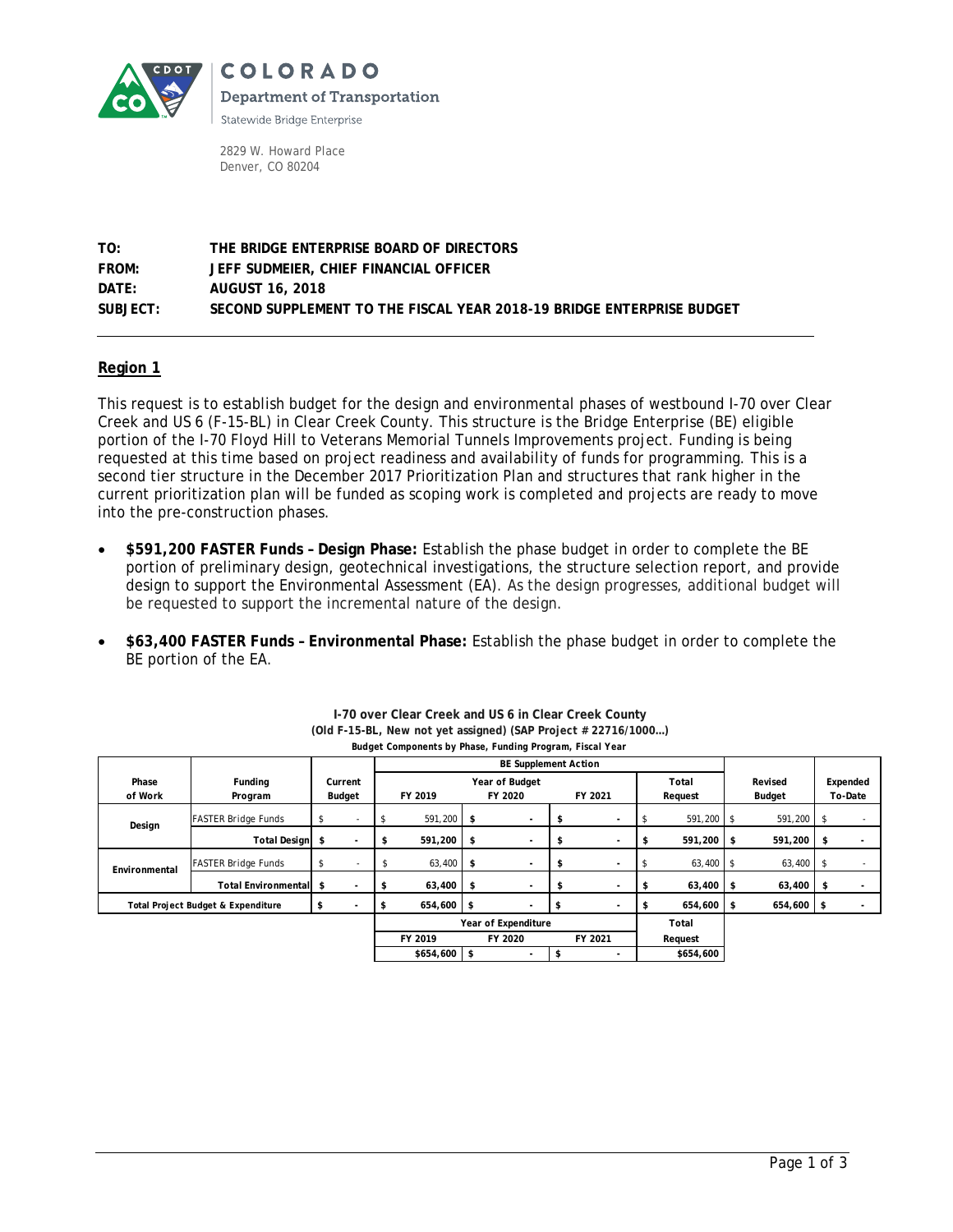

**COLORADO Department of Transportation** 

Statewide Bridge Enterprise

2829 W. Howard Place Denver, CO 80204

**TO: THE BRIDGE ENTERPRISE BOARD OF DIRECTORS FROM: JEFF SUDMEIER, CHIEF FINANCIAL OFFICER DATE: AUGUST 16, 2018 SUBJECT: SECOND SUPPLEMENT TO THE FISCAL YEAR 2018-19 BRIDGE ENTERPRISE BUDGET**

### **Region 1**

This request is to establish budget for the design and environmental phases of westbound I-70 over Clear Creek and US 6 (F-15-BL) in Clear Creek County. This structure is the Bridge Enterprise (BE) eligible portion of the I-70 Floyd Hill to Veterans Memorial Tunnels Improvements project. Funding is being requested at this time based on project readiness and availability of funds for programming. This is a second tier structure in the December 2017 Prioritization Plan and structures that rank higher in the current prioritization plan will be funded as scoping work is completed and projects are ready to move into the pre-construction phases.

- **\$591,200 FASTER Funds – Design Phase:** Establish the phase budget in order to complete the BE portion of preliminary design, geotechnical investigations, the structure selection report, and provide design to support the Environmental Assessment (EA). As the design progresses, additional budget will be requested to support the incremental nature of the design.
- **\$63,400 FASTER Funds – Environmental Phase:** Establish the phase budget in order to complete the BE portion of the EA.

|                                    |                             |        |         | <b>BE Supplement Action</b>   |              |         |                |         |         |           |             |        |             |         |                          |
|------------------------------------|-----------------------------|--------|---------|-------------------------------|--------------|---------|----------------|---------|---------|-----------|-------------|--------|-------------|---------|--------------------------|
| Phase                              | Funding                     |        | Current |                               |              |         | Year of Budget |         |         |           | Total       |        | Revised     |         | Expended                 |
| of Work                            | Program                     | Budget |         | FY 2019                       |              | FY 2020 |                | FY 2021 |         | Request   |             | Budget |             | To-Date |                          |
| Design                             | <b>FASTER Bridge Funds</b>  | s      |         |                               | 591,200 \$   |         | ٠              |         |         |           | 591,200 \$  |        | 591,200     | - \$    | ٠                        |
|                                    | <b>Total Design</b>         | \$     |         | S                             | 591,200 \$   |         | ٠              |         |         | S         | 591,200 \$  |        | 591,200     | \$      |                          |
| Environmental                      | <b>FASTER Bridge Funds</b>  | \$     |         | S                             | $63,400$ \$  |         | ۰              | л       |         | £         | $63,400$ \$ |        | $63,400$ \$ |         | $\overline{\phantom{a}}$ |
|                                    | <b>Total Environmentall</b> | \$     |         |                               | $63,400$ \$  |         |                |         |         | S         | 63,400 \$   |        | 63,400      | \$      |                          |
| Total Project Budget & Expenditure |                             | ъ      |         |                               | $654,600$ \$ |         |                |         |         |           | 654,600 \$  |        | 654,600 \$  |         |                          |
|                                    |                             |        |         | Year of Expenditure           |              |         |                |         |         |           | Total       |        |             |         |                          |
|                                    |                             |        |         | FY 2019<br>FY 2020<br>FY 2021 |              |         |                |         | Request |           |             |        |             |         |                          |
|                                    |                             |        |         | $$654,600$ \$                 |              |         |                |         |         | \$654,600 |             |        |             |         |                          |

**I-70 over Clear Creek and US 6 in Clear Creek County (Old F-15-BL, New not yet assigned) (SAP Project # 22716/1000…)** *Budget Components by Phase, Funding Program, Fiscal Year*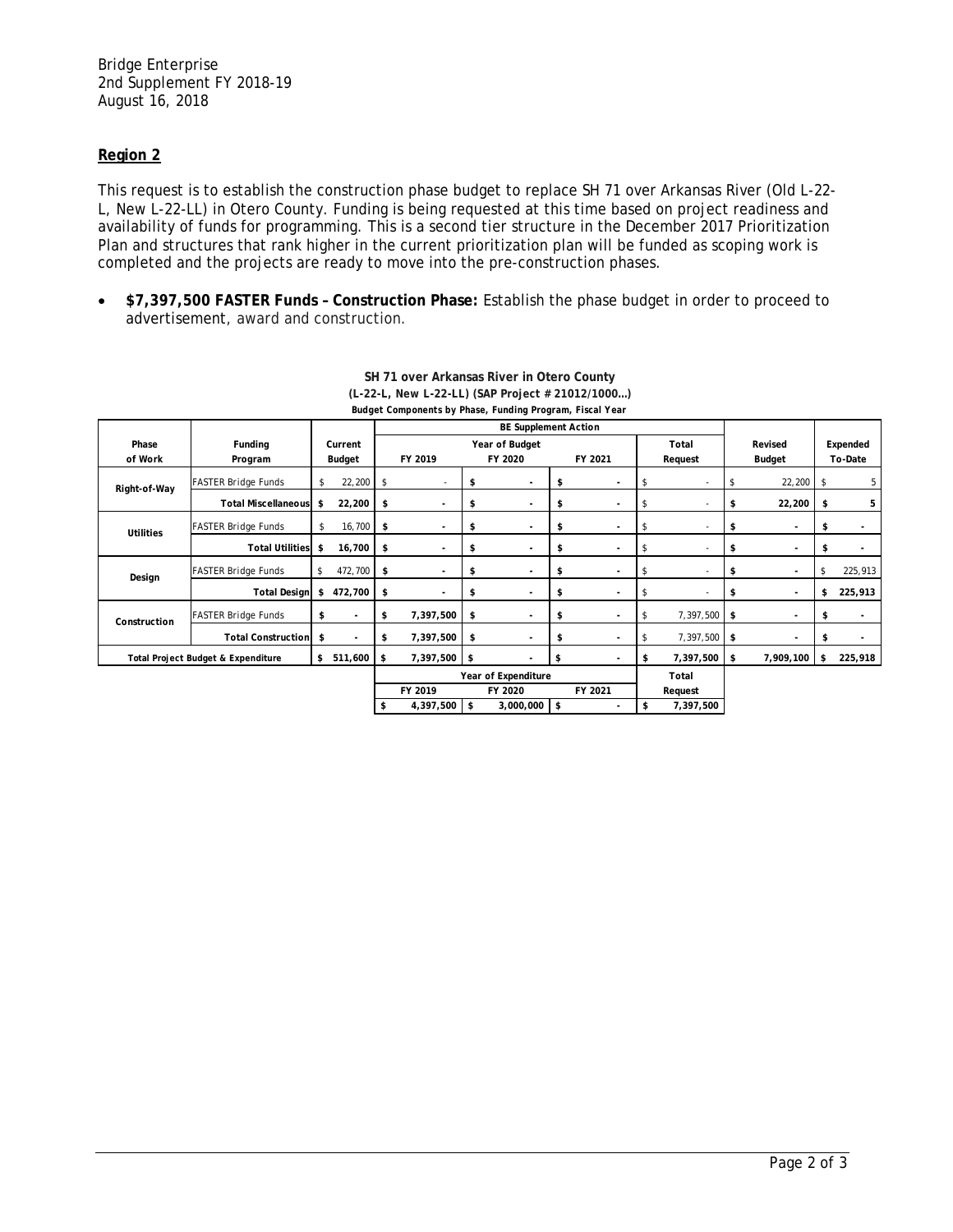### **Region 2**

This request is to establish the construction phase budget to replace SH 71 over Arkansas River (Old L-22- L, New L-22-LL) in Otero County. Funding is being requested at this time based on project readiness and availability of funds for programming. This is a second tier structure in the December 2017 Prioritization Plan and structures that rank higher in the current prioritization plan will be funded as scoping work is completed and the projects are ready to move into the pre-construction phases.

• **\$7,397,500 FASTER Funds – Construction Phase:** Establish the phase budget in order to proceed to advertisement, award and construction.

|                                          |                            |         |                          |                             |                     |         | Budget Components by Phase, Funding Program, Fiscal Year |         |                          |         |              |           |           |         |          |  |
|------------------------------------------|----------------------------|---------|--------------------------|-----------------------------|---------------------|---------|----------------------------------------------------------|---------|--------------------------|---------|--------------|-----------|-----------|---------|----------|--|
|                                          |                            |         |                          | <b>BE Supplement Action</b> |                     |         |                                                          |         |                          |         |              |           |           |         |          |  |
| Phase                                    | Funding                    | Current |                          | Year of Budget<br>Total     |                     |         |                                                          |         |                          |         |              |           | Revised   |         | Expended |  |
| of Work                                  | Program                    | Budget  |                          | FY 2019                     |                     | FY 2020 |                                                          | FY 2021 |                          | Request |              | Budget    |           | To-Date |          |  |
| Right-of-Way                             | <b>FASTER Bridge Funds</b> | \$      | 22,200                   | \$                          | ٠                   | \$      |                                                          | \$      |                          | \$      |              | -\$       | 22,200    | \$      | 5        |  |
|                                          | <b>Total Miscellaneous</b> | \$      | 22,200                   | \$                          | ٠                   | \$      |                                                          | \$      |                          | Ŝ       |              | \$        | 22,200    | \$      | 5        |  |
| <b>Utilities</b>                         | <b>FASTER Bridge Funds</b> | \$      | 16,700                   | \$                          | ٠                   | \$      |                                                          | \$      | $\blacksquare$           | \$      | $\sim$       | \$        | ٠         | \$      |          |  |
|                                          | <b>Total Utilities</b>     | \$      | 16,700                   | \$                          | ٠                   | \$      |                                                          | \$      | $\overline{\phantom{a}}$ | \$      |              | \$        | ٠         | \$      |          |  |
| Design                                   | <b>FASTER Bridge Funds</b> | s.      | 472,700                  | \$                          | ٠                   | \$      | $\overline{\phantom{a}}$                                 | \$      | $\blacksquare$           | \$      |              | \$        | ٠         | \$      | 225,913  |  |
|                                          | <b>Total Design</b>        | \$      | 472,700                  | \$                          |                     | \$      | $\overline{\phantom{a}}$                                 | \$      | $\overline{\phantom{a}}$ | \$      |              | \$        | ٠         | \$      | 225,913  |  |
| Construction                             | <b>FASTER Bridge Funds</b> | \$      | $\overline{\phantom{a}}$ | \$                          | 7,397,500           | \$      |                                                          | \$      |                          | \$      | 7,397,500 \$ |           | ٠         | \$      |          |  |
|                                          | <b>Total Construction</b>  | \$      | $\overline{\phantom{a}}$ | \$                          | 7,397,500           | \$      | $\overline{\phantom{a}}$                                 | \$      | $\sim$                   |         | 7,397,500    | <b>\$</b> | ٠         | \$      |          |  |
| \$<br>Total Project Budget & Expenditure |                            |         | 511,600                  | \$                          | 7,397,500           | \$      |                                                          | \$      | $\overline{\phantom{a}}$ | \$      | 7,397,500    | \$        | 7,909,100 | \$      | 225,918  |  |
|                                          |                            |         |                          |                             | Year of Expenditure |         |                                                          |         |                          |         | Total        |           |           |         |          |  |
|                                          |                            |         |                          |                             | FY 2019             |         | FY 2020                                                  |         | FY 2021                  |         | Request      |           |           |         |          |  |
|                                          |                            |         |                          | \$                          | 4,397,500           | l \$    | $3,000,000$ \$                                           |         |                          | \$      | 7,397,500    |           |           |         |          |  |

#### **SH 71 over Arkansas River in Otero County (L-22-L, New L-22-LL) (SAP Project # 21012/1000…)** *Budget Components by Phase, Funding Program, Fiscal Year*